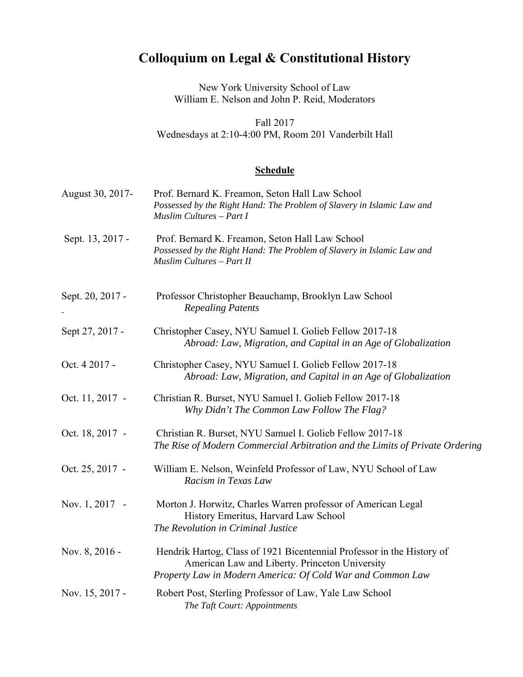## **Colloquium on Legal & Constitutional History**

New York University School of Law William E. Nelson and John P. Reid, Moderators

Fall 2017 Wednesdays at 2:10-4:00 PM, Room 201 Vanderbilt Hall

## **Schedule**

| August 30, 2017- | Prof. Bernard K. Freamon, Seton Hall Law School<br>Possessed by the Right Hand: The Problem of Slavery in Islamic Law and<br>Muslim Cultures - Part I                                  |
|------------------|----------------------------------------------------------------------------------------------------------------------------------------------------------------------------------------|
| Sept. 13, 2017 - | Prof. Bernard K. Freamon, Seton Hall Law School<br>Possessed by the Right Hand: The Problem of Slavery in Islamic Law and<br>Muslim Cultures - Part II                                 |
| Sept. 20, 2017 - | Professor Christopher Beauchamp, Brooklyn Law School<br><b>Repealing Patents</b>                                                                                                       |
| Sept 27, 2017 -  | Christopher Casey, NYU Samuel I. Golieb Fellow 2017-18<br>Abroad: Law, Migration, and Capital in an Age of Globalization                                                               |
| Oct. 4 2017 -    | Christopher Casey, NYU Samuel I. Golieb Fellow 2017-18<br>Abroad: Law, Migration, and Capital in an Age of Globalization                                                               |
| Oct. 11, 2017 -  | Christian R. Burset, NYU Samuel I. Golieb Fellow 2017-18<br>Why Didn't The Common Law Follow The Flag?                                                                                 |
| Oct. 18, 2017 -  | Christian R. Burset, NYU Samuel I. Golieb Fellow 2017-18<br>The Rise of Modern Commercial Arbitration and the Limits of Private Ordering                                               |
| Oct. 25, 2017 -  | William E. Nelson, Weinfeld Professor of Law, NYU School of Law<br>Racism in Texas Law                                                                                                 |
| Nov. 1, 2017 -   | Morton J. Horwitz, Charles Warren professor of American Legal<br>History Emeritus, Harvard Law School<br>The Revolution in Criminal Justice                                            |
| Nov. 8, 2016 -   | Hendrik Hartog, Class of 1921 Bicentennial Professor in the History of<br>American Law and Liberty. Princeton University<br>Property Law in Modern America: Of Cold War and Common Law |
| Nov. 15, 2017 -  | Robert Post, Sterling Professor of Law, Yale Law School<br>The Taft Court: Appointments                                                                                                |